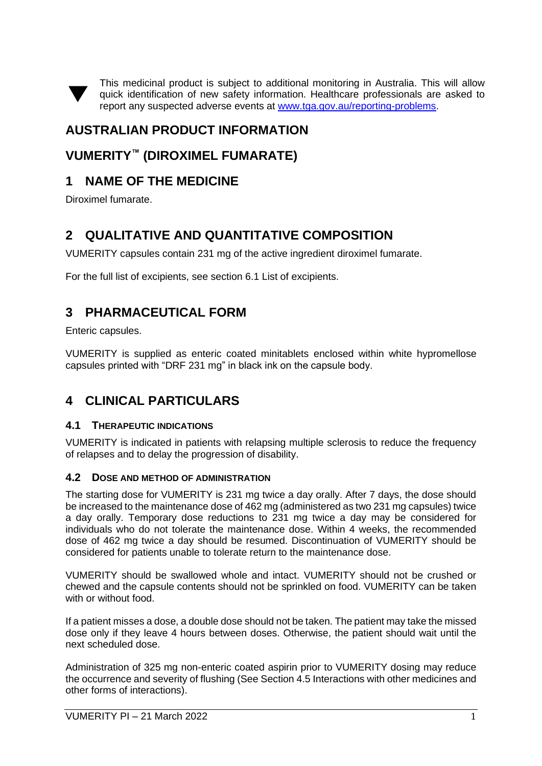This medicinal product is subject to additional monitoring in Australia. This will allow quick identification of new safety information. Healthcare professionals are asked to report any suspected adverse events at [www.tga.gov.au/reporting-problems.](http://www.tga.gov.au/reporting-problems)

# **AUSTRALIAN PRODUCT INFORMATION**

## **VUMERITY™ (DIROXIMEL FUMARATE)**

# **1 NAME OF THE MEDICINE**

Diroximel fumarate.

▼

# **2 QUALITATIVE AND QUANTITATIVE COMPOSITION**

VUMERITY capsules contain 231 mg of the active ingredient diroximel fumarate.

For the full list of excipients, see section 6.1 List of excipients.

## **3 PHARMACEUTICAL FORM**

Enteric capsules.

VUMERITY is supplied as enteric coated minitablets enclosed within white hypromellose capsules printed with "DRF 231 mg" in black ink on the capsule body.

## **4 CLINICAL PARTICULARS**

### **4.1 THERAPEUTIC INDICATIONS**

VUMERITY is indicated in patients with relapsing multiple sclerosis to reduce the frequency of relapses and to delay the progression of disability.

### **4.2 DOSE AND METHOD OF ADMINISTRATION**

The starting dose for VUMERITY is 231 mg twice a day orally. After 7 days, the dose should be increased to the maintenance dose of 462 mg (administered as two 231 mg capsules) twice a day orally. Temporary dose reductions to 231 mg twice a day may be considered for individuals who do not tolerate the maintenance dose. Within 4 weeks, the recommended dose of 462 mg twice a day should be resumed. Discontinuation of VUMERITY should be considered for patients unable to tolerate return to the maintenance dose.

VUMERITY should be swallowed whole and intact. VUMERITY should not be crushed or chewed and the capsule contents should not be sprinkled on food. VUMERITY can be taken with or without food.

If a patient misses a dose, a double dose should not be taken. The patient may take the missed dose only if they leave 4 hours between doses. Otherwise, the patient should wait until the next scheduled dose.

Administration of 325 mg non-enteric coated aspirin prior to VUMERITY dosing may reduce the occurrence and severity of flushing (See Section 4.5 Interactions with other medicines and other forms of interactions).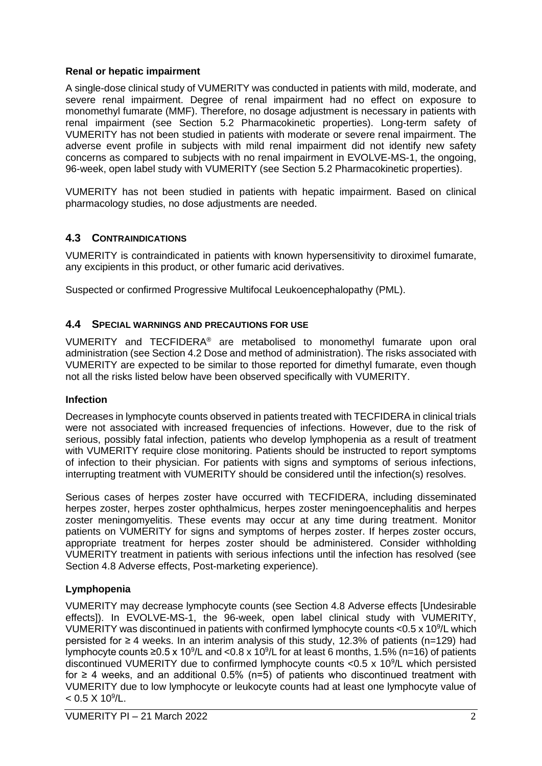### **Renal or hepatic impairment**

A single-dose clinical study of VUMERITY was conducted in patients with mild, moderate, and severe renal impairment. Degree of renal impairment had no effect on exposure to monomethyl fumarate (MMF). Therefore, no dosage adjustment is necessary in patients with renal impairment (see Section 5.2 Pharmacokinetic properties). Long-term safety of VUMERITY has not been studied in patients with moderate or severe renal impairment. The adverse event profile in subjects with mild renal impairment did not identify new safety concerns as compared to subjects with no renal impairment in EVOLVE-MS-1, the ongoing, 96-week, open label study with VUMERITY (see Section 5.2 Pharmacokinetic properties).

VUMERITY has not been studied in patients with hepatic impairment. Based on clinical pharmacology studies, no dose adjustments are needed.

### **4.3 CONTRAINDICATIONS**

VUMERITY is contraindicated in patients with known hypersensitivity to diroximel fumarate, any excipients in this product, or other fumaric acid derivatives.

Suspected or confirmed Progressive Multifocal Leukoencephalopathy (PML).

#### **4.4 SPECIAL WARNINGS AND PRECAUTIONS FOR USE**

VUMERITY and TECFIDERA® are metabolised to monomethyl fumarate upon oral administration (see Section 4.2 Dose and method of administration). The risks associated with VUMERITY are expected to be similar to those reported for dimethyl fumarate, even though not all the risks listed below have been observed specifically with VUMERITY.

#### **Infection**

Decreases in lymphocyte counts observed in patients treated with TECFIDERA in clinical trials were not associated with increased frequencies of infections. However, due to the risk of serious, possibly fatal infection, patients who develop lymphopenia as a result of treatment with VUMERITY require close monitoring. Patients should be instructed to report symptoms of infection to their physician. For patients with signs and symptoms of serious infections, interrupting treatment with VUMERITY should be considered until the infection(s) resolves.

Serious cases of herpes zoster have occurred with TECFIDERA, including disseminated herpes zoster, herpes zoster ophthalmicus, herpes zoster meningoencephalitis and herpes zoster meningomyelitis. These events may occur at any time during treatment. Monitor patients on VUMERITY for signs and symptoms of herpes zoster. If herpes zoster occurs, appropriate treatment for herpes zoster should be administered. Consider withholding VUMERITY treatment in patients with serious infections until the infection has resolved (see Section 4.8 Adverse effects, Post-marketing experience).

### **Lymphopenia**

VUMERITY may decrease lymphocyte counts (see Section 4.8 Adverse effects [Undesirable effects]). In EVOLVE-MS-1, the 96-week, open label clinical study with VUMERITY, VUMERITY was discontinued in patients with confirmed lymphocyte counts  $<$  0.5 x 10<sup>9</sup>/L which persisted for ≥ 4 weeks. In an interim analysis of this study, 12.3% of patients (n=129) had lymphocyte counts ≥0.5 x 10<sup>9</sup>/L and <0.8 x 10<sup>9</sup>/L for at least 6 months, 1.5% (n=16) of patients discontinued VUMERITY due to confirmed lymphocyte counts < $0.5 \times 10^9$ /L which persisted for  $\geq$  4 weeks, and an additional 0.5% (n=5) of patients who discontinued treatment with VUMERITY due to low lymphocyte or leukocyte counts had at least one lymphocyte value of  $< 0.5 \times 10^9$ /L.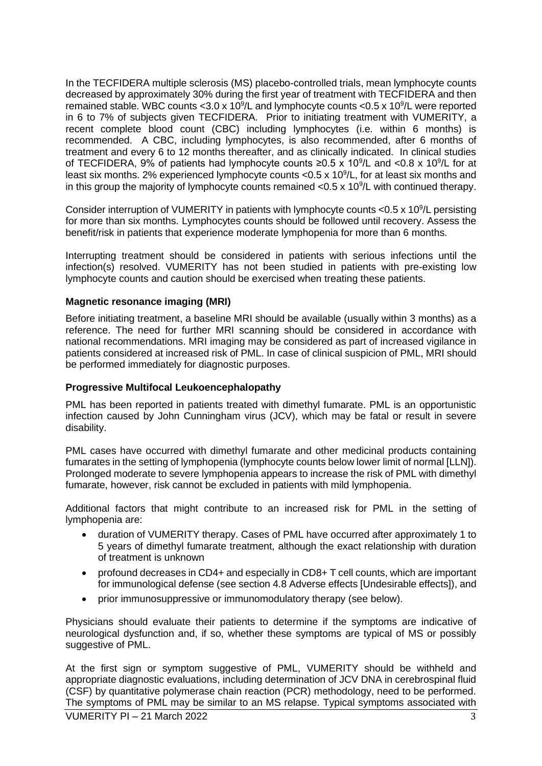In the TECFIDERA multiple sclerosis (MS) placebo-controlled trials, mean lymphocyte counts decreased by approximately 30% during the first year of treatment with TECFIDERA and then remained stable. WBC counts < 3.0 x 10<sup>9</sup>/L and lymphocyte counts <  $0.5 \times 10^9$ /L were reported in 6 to 7% of subjects given TECFIDERA.Prior to initiating treatment with VUMERITY, a recent complete blood count (CBC) including lymphocytes (i.e. within 6 months) is recommended. A CBC, including lymphocytes, is also recommended, after 6 months of treatment and every 6 to 12 months thereafter, and as clinically indicated. In clinical studies of TECFIDERA, 9% of patients had lymphocyte counts  $\geq 0.5 \times 10^9$ /L and <0.8 x 10<sup>9</sup>/L for at least six months. 2% experienced lymphocyte counts < 0.5 x 10<sup>9</sup>/L, for at least six months and in this group the majority of lymphocyte counts remained < $0.5 \times 10^9$ /L with continued therapy.

Consider interruption of VUMERITY in patients with lymphocyte counts  $<$  0.5 x 10<sup>9</sup>/L persisting for more than six months. Lymphocytes counts should be followed until recovery. Assess the benefit/risk in patients that experience moderate lymphopenia for more than 6 months.

Interrupting treatment should be considered in patients with serious infections until the infection(s) resolved. VUMERITY has not been studied in patients with pre-existing low lymphocyte counts and caution should be exercised when treating these patients.

#### **Magnetic resonance imaging (MRI)**

Before initiating treatment, a baseline MRI should be available (usually within 3 months) as a reference. The need for further MRI scanning should be considered in accordance with national recommendations. MRI imaging may be considered as part of increased vigilance in patients considered at increased risk of PML. In case of clinical suspicion of PML, MRI should be performed immediately for diagnostic purposes.

#### **Progressive Multifocal Leukoencephalopathy**

PML has been reported in patients treated with dimethyl fumarate. PML is an opportunistic infection caused by John Cunningham virus (JCV), which may be fatal or result in severe disability.

PML cases have occurred with dimethyl fumarate and other medicinal products containing fumarates in the setting of lymphopenia (lymphocyte counts below lower limit of normal [LLN]). Prolonged moderate to severe lymphopenia appears to increase the risk of PML with dimethyl fumarate, however, risk cannot be excluded in patients with mild lymphopenia.

Additional factors that might contribute to an increased risk for PML in the setting of lymphopenia are:

- duration of VUMERITY therapy. Cases of PML have occurred after approximately 1 to 5 years of dimethyl fumarate treatment, although the exact relationship with duration of treatment is unknown
- profound decreases in CD4+ and especially in CD8+ T cell counts, which are important for immunological defense (see section 4.8 Adverse effects [Undesirable effects]), and
- prior immunosuppressive or immunomodulatory therapy (see below).

Physicians should evaluate their patients to determine if the symptoms are indicative of neurological dysfunction and, if so, whether these symptoms are typical of MS or possibly suggestive of PML.

At the first sign or symptom suggestive of PML, VUMERITY should be withheld and appropriate diagnostic evaluations, including determination of JCV DNA in cerebrospinal fluid (CSF) by quantitative polymerase chain reaction (PCR) methodology, need to be performed. The symptoms of PML may be similar to an MS relapse. Typical symptoms associated with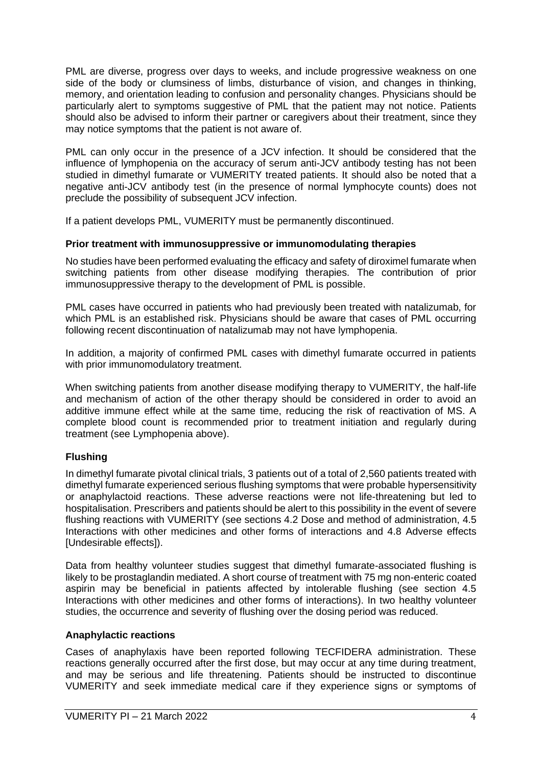PML are diverse, progress over days to weeks, and include progressive weakness on one side of the body or clumsiness of limbs, disturbance of vision, and changes in thinking, memory, and orientation leading to confusion and personality changes. Physicians should be particularly alert to symptoms suggestive of PML that the patient may not notice. Patients should also be advised to inform their partner or caregivers about their treatment, since they may notice symptoms that the patient is not aware of.

PML can only occur in the presence of a JCV infection. It should be considered that the influence of lymphopenia on the accuracy of serum anti-JCV antibody testing has not been studied in dimethyl fumarate or VUMERITY treated patients. It should also be noted that a negative anti-JCV antibody test (in the presence of normal lymphocyte counts) does not preclude the possibility of subsequent JCV infection.

If a patient develops PML, VUMERITY must be permanently discontinued.

#### **Prior treatment with immunosuppressive or immunomodulating therapies**

No studies have been performed evaluating the efficacy and safety of diroximel fumarate when switching patients from other disease modifying therapies. The contribution of prior immunosuppressive therapy to the development of PML is possible.

PML cases have occurred in patients who had previously been treated with natalizumab, for which PML is an established risk. Physicians should be aware that cases of PML occurring following recent discontinuation of natalizumab may not have lymphopenia.

In addition, a majority of confirmed PML cases with dimethyl fumarate occurred in patients with prior immunomodulatory treatment.

When switching patients from another disease modifying therapy to VUMERITY, the half-life and mechanism of action of the other therapy should be considered in order to avoid an additive immune effect while at the same time, reducing the risk of reactivation of MS. A complete blood count is recommended prior to treatment initiation and regularly during treatment (see Lymphopenia above).

### **Flushing**

In dimethyl fumarate pivotal clinical trials, 3 patients out of a total of 2,560 patients treated with dimethyl fumarate experienced serious flushing symptoms that were probable hypersensitivity or anaphylactoid reactions. These adverse reactions were not life-threatening but led to hospitalisation. Prescribers and patients should be alert to this possibility in the event of severe flushing reactions with VUMERITY (see sections 4.2 Dose and method of administration, 4.5 Interactions with other medicines and other forms of interactions and 4.8 Adverse effects [Undesirable effects]).

Data from healthy volunteer studies suggest that dimethyl fumarate-associated flushing is likely to be prostaglandin mediated. A short course of treatment with 75 mg non-enteric coated aspirin may be beneficial in patients affected by intolerable flushing (see section 4.5 Interactions with other medicines and other forms of interactions). In two healthy volunteer studies, the occurrence and severity of flushing over the dosing period was reduced.

### **Anaphylactic reactions**

Cases of anaphylaxis have been reported following TECFIDERA administration. These reactions generally occurred after the first dose, but may occur at any time during treatment, and may be serious and life threatening. Patients should be instructed to discontinue VUMERITY and seek immediate medical care if they experience signs or symptoms of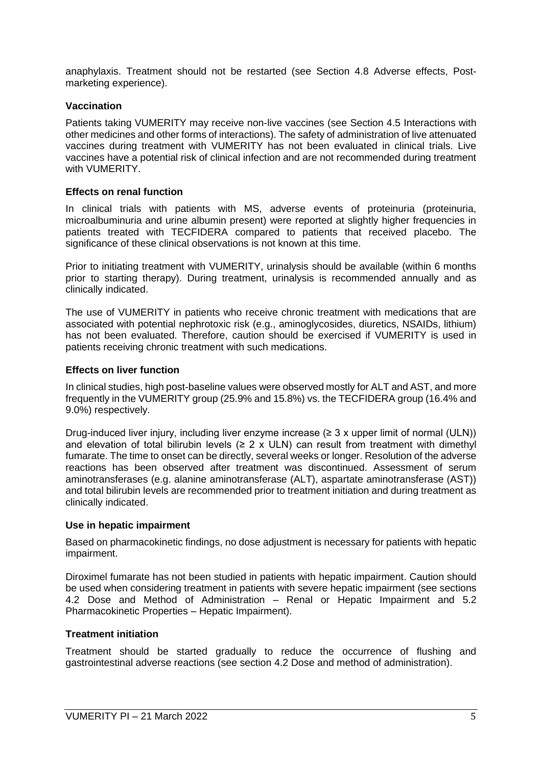anaphylaxis. Treatment should not be restarted (see Section 4.8 Adverse effects, Postmarketing experience).

#### **Vaccination**

Patients taking VUMERITY may receive non-live vaccines (see Section 4.5 Interactions with other medicines and other forms of interactions). The safety of administration of live attenuated vaccines during treatment with VUMERITY has not been evaluated in clinical trials. Live vaccines have a potential risk of clinical infection and are not recommended during treatment with VUMERITY.

#### **Effects on renal function**

In clinical trials with patients with MS, adverse events of proteinuria (proteinuria, microalbuminuria and urine albumin present) were reported at slightly higher frequencies in patients treated with TECFIDERA compared to patients that received placebo. The significance of these clinical observations is not known at this time.

Prior to initiating treatment with VUMERITY, urinalysis should be available (within 6 months prior to starting therapy). During treatment, urinalysis is recommended annually and as clinically indicated.

The use of VUMERITY in patients who receive chronic treatment with medications that are associated with potential nephrotoxic risk (e.g., aminoglycosides, diuretics, NSAIDs, lithium) has not been evaluated. Therefore, caution should be exercised if VUMERITY is used in patients receiving chronic treatment with such medications.

#### **Effects on liver function**

In clinical studies, high post-baseline values were observed mostly for ALT and AST, and more frequently in the VUMERITY group (25.9% and 15.8%) vs. the TECFIDERA group (16.4% and 9.0%) respectively.

Drug-induced liver injury, including liver enzyme increase ( $\geq$  3 x upper limit of normal (ULN)) and elevation of total bilirubin levels ( $\geq 2 \times$  ULN) can result from treatment with dimethyl fumarate. The time to onset can be directly, several weeks or longer. Resolution of the adverse reactions has been observed after treatment was discontinued. Assessment of serum aminotransferases (e.g. alanine aminotransferase (ALT), aspartate aminotransferase (AST)) and total bilirubin levels are recommended prior to treatment initiation and during treatment as clinically indicated.

#### **Use in hepatic impairment**

Based on pharmacokinetic findings, no dose adjustment is necessary for patients with hepatic impairment.

Diroximel fumarate has not been studied in patients with hepatic impairment. Caution should be used when considering treatment in patients with severe hepatic impairment (see sections 4.2 Dose and Method of Administration – Renal or Hepatic Impairment and 5.2 Pharmacokinetic Properties – Hepatic Impairment).

### **Treatment initiation**

Treatment should be started gradually to reduce the occurrence of flushing and gastrointestinal adverse reactions (see section 4.2 Dose and method of administration).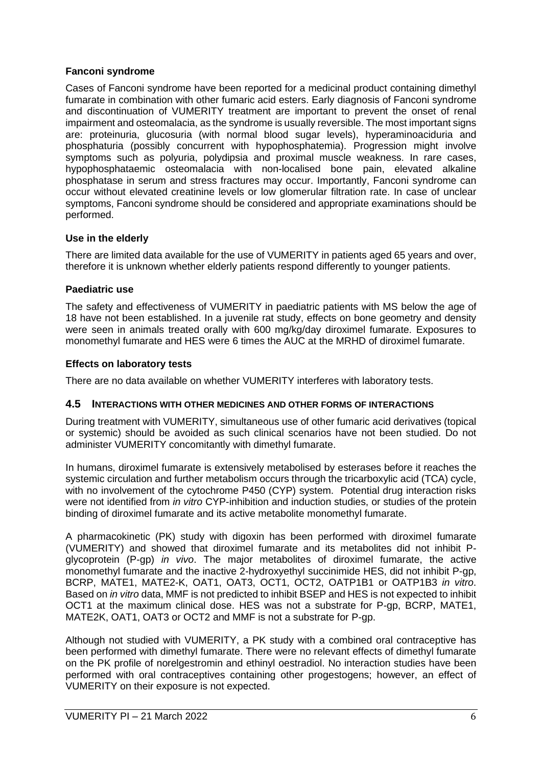#### **Fanconi syndrome**

Cases of Fanconi syndrome have been reported for a medicinal product containing dimethyl fumarate in combination with other fumaric acid esters. Early diagnosis of Fanconi syndrome and discontinuation of VUMERITY treatment are important to prevent the onset of renal impairment and osteomalacia, as the syndrome is usually reversible. The most important signs are: proteinuria, glucosuria (with normal blood sugar levels), hyperaminoaciduria and phosphaturia (possibly concurrent with hypophosphatemia). Progression might involve symptoms such as polyuria, polydipsia and proximal muscle weakness. In rare cases, hypophosphataemic osteomalacia with non-localised bone pain, elevated alkaline phosphatase in serum and stress fractures may occur. Importantly, Fanconi syndrome can occur without elevated creatinine levels or low glomerular filtration rate. In case of unclear symptoms, Fanconi syndrome should be considered and appropriate examinations should be performed.

### **Use in the elderly**

There are limited data available for the use of VUMERITY in patients aged 65 years and over, therefore it is unknown whether elderly patients respond differently to younger patients.

#### **Paediatric use**

The safety and effectiveness of VUMERITY in paediatric patients with MS below the age of 18 have not been established. In a juvenile rat study, effects on bone geometry and density were seen in animals treated orally with 600 mg/kg/day diroximel fumarate. Exposures to monomethyl fumarate and HES were 6 times the AUC at the MRHD of diroximel fumarate.

#### **Effects on laboratory tests**

There are no data available on whether VUMERITY interferes with laboratory tests.

#### **4.5 INTERACTIONS WITH OTHER MEDICINES AND OTHER FORMS OF INTERACTIONS**

During treatment with VUMERITY, simultaneous use of other fumaric acid derivatives (topical or systemic) should be avoided as such clinical scenarios have not been studied. Do not administer VUMERITY concomitantly with dimethyl fumarate.

In humans, diroximel fumarate is extensively metabolised by esterases before it reaches the systemic circulation and further metabolism occurs through the tricarboxylic acid (TCA) cycle, with no involvement of the cytochrome P450 (CYP) system. Potential drug interaction risks were not identified from *in vitro* CYP-inhibition and induction studies, or studies of the protein binding of diroximel fumarate and its active metabolite monomethyl fumarate.

A pharmacokinetic (PK) study with digoxin has been performed with diroximel fumarate (VUMERITY) and showed that diroximel fumarate and its metabolites did not inhibit Pglycoprotein (P-gp) *in vivo*. The major metabolites of diroximel fumarate, the active monomethyl fumarate and the inactive 2-hydroxyethyl succinimide HES, did not inhibit P-gp, BCRP, MATE1, MATE2-K, OAT1, OAT3, OCT1, OCT2, OATP1B1 or OATP1B3 *in vitro*. Based on *in vitro* data, MMF is not predicted to inhibit BSEP and HES is not expected to inhibit OCT1 at the maximum clinical dose. HES was not a substrate for P-gp, BCRP, MATE1, MATE2K, OAT1, OAT3 or OCT2 and MMF is not a substrate for P-gp.

Although not studied with VUMERITY, a PK study with a combined oral contraceptive has been performed with dimethyl fumarate. There were no relevant effects of dimethyl fumarate on the PK profile of norelgestromin and ethinyl oestradiol. No interaction studies have been performed with oral contraceptives containing other progestogens; however, an effect of VUMERITY on their exposure is not expected.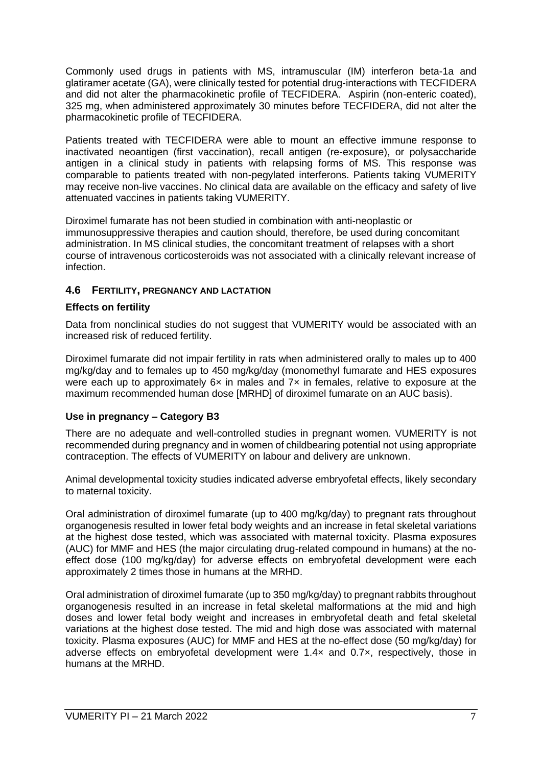Commonly used drugs in patients with MS, intramuscular (IM) interferon beta-1a and glatiramer acetate (GA), were clinically tested for potential drug-interactions with TECFIDERA and did not alter the pharmacokinetic profile of TECFIDERA. Aspirin (non-enteric coated), 325 mg, when administered approximately 30 minutes before TECFIDERA, did not alter the pharmacokinetic profile of TECFIDERA.

Patients treated with TECFIDERA were able to mount an effective immune response to inactivated neoantigen (first vaccination), recall antigen (re-exposure), or polysaccharide antigen in a clinical study in patients with relapsing forms of MS. This response was comparable to patients treated with non-pegylated interferons. Patients taking VUMERITY may receive non-live vaccines. No clinical data are available on the efficacy and safety of live attenuated vaccines in patients taking VUMERITY.

Diroximel fumarate has not been studied in combination with anti-neoplastic or immunosuppressive therapies and caution should, therefore, be used during concomitant administration. In MS clinical studies, the concomitant treatment of relapses with a short course of intravenous corticosteroids was not associated with a clinically relevant increase of infection.

### **4.6 FERTILITY, PREGNANCY AND LACTATION**

### **Effects on fertility**

Data from nonclinical studies do not suggest that VUMERITY would be associated with an increased risk of reduced fertility.

Diroximel fumarate did not impair fertility in rats when administered orally to males up to 400 mg/kg/day and to females up to 450 mg/kg/day (monomethyl fumarate and HES exposures were each up to approximately 6x in males and 7x in females, relative to exposure at the maximum recommended human dose [MRHD] of diroximel fumarate on an AUC basis).

### **Use in pregnancy – Category B3**

There are no adequate and well-controlled studies in pregnant women. VUMERITY is not recommended during pregnancy and in women of childbearing potential not using appropriate contraception. The effects of VUMERITY on labour and delivery are unknown.

Animal developmental toxicity studies indicated adverse embryofetal effects, likely secondary to maternal toxicity.

Oral administration of diroximel fumarate (up to 400 mg/kg/day) to pregnant rats throughout organogenesis resulted in lower fetal body weights and an increase in fetal skeletal variations at the highest dose tested, which was associated with maternal toxicity. Plasma exposures (AUC) for MMF and HES (the major circulating drug-related compound in humans) at the noeffect dose (100 mg/kg/day) for adverse effects on embryofetal development were each approximately 2 times those in humans at the MRHD.

Oral administration of diroximel fumarate (up to 350 mg/kg/day) to pregnant rabbits throughout organogenesis resulted in an increase in fetal skeletal malformations at the mid and high doses and lower fetal body weight and increases in embryofetal death and fetal skeletal variations at the highest dose tested. The mid and high dose was associated with maternal toxicity. Plasma exposures (AUC) for MMF and HES at the no-effect dose (50 mg/kg/day) for adverse effects on embryofetal development were 1.4× and 0.7×, respectively, those in humans at the MRHD.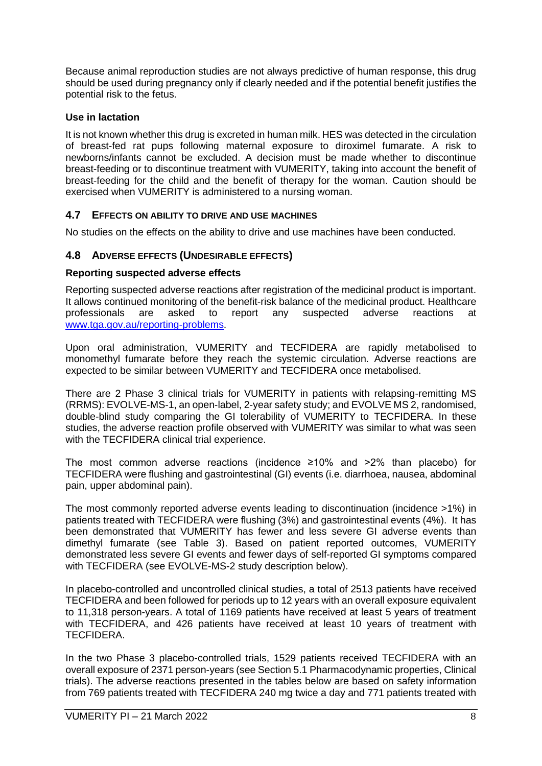Because animal reproduction studies are not always predictive of human response, this drug should be used during pregnancy only if clearly needed and if the potential benefit justifies the potential risk to the fetus.

### **Use in lactation**

It is not known whether this drug is excreted in human milk. HES was detected in the circulation of breast-fed rat pups following maternal exposure to diroximel fumarate. A risk to newborns/infants cannot be excluded. A decision must be made whether to discontinue breast-feeding or to discontinue treatment with VUMERITY, taking into account the benefit of breast-feeding for the child and the benefit of therapy for the woman. Caution should be exercised when VUMERITY is administered to a nursing woman.

### **4.7 EFFECTS ON ABILITY TO DRIVE AND USE MACHINES**

No studies on the effects on the ability to drive and use machines have been conducted.

### **4.8 ADVERSE EFFECTS (UNDESIRABLE EFFECTS)**

### **Reporting suspected adverse effects**

Reporting suspected adverse reactions after registration of the medicinal product is important. It allows continued monitoring of the benefit-risk balance of the medicinal product. Healthcare professionals are asked to report any suspected adverse reactions at [www.tga.gov.au/reporting-problems.](http://www.tga.gov.au/reporting-problems)

Upon oral administration, VUMERITY and TECFIDERA are rapidly metabolised to monomethyl fumarate before they reach the systemic circulation. Adverse reactions are expected to be similar between VUMERITY and TECFIDERA once metabolised.

There are 2 Phase 3 clinical trials for VUMERITY in patients with relapsing-remitting MS (RRMS): EVOLVE-MS-1, an open-label, 2-year safety study; and EVOLVE MS 2, randomised, double-blind study comparing the GI tolerability of VUMERITY to TECFIDERA. In these studies, the adverse reaction profile observed with VUMERITY was similar to what was seen with the TECFIDERA clinical trial experience.

The most common adverse reactions (incidence ≥10% and >2% than placebo) for TECFIDERA were flushing and gastrointestinal (GI) events (i.e. diarrhoea, nausea, abdominal pain, upper abdominal pain).

The most commonly reported adverse events leading to discontinuation (incidence >1%) in patients treated with TECFIDERA were flushing (3%) and gastrointestinal events (4%). It has been demonstrated that VUMERITY has fewer and less severe GI adverse events than dimethyl fumarate (see Table 3). Based on patient reported outcomes, VUMERITY demonstrated less severe GI events and fewer days of self-reported GI symptoms compared with TECFIDERA (see EVOLVE-MS-2 study description below).

In placebo-controlled and uncontrolled clinical studies, a total of 2513 patients have received TECFIDERA and been followed for periods up to 12 years with an overall exposure equivalent to 11,318 person-years. A total of 1169 patients have received at least 5 years of treatment with TECFIDERA, and 426 patients have received at least 10 years of treatment with TECFIDERA.

In the two Phase 3 placebo-controlled trials, 1529 patients received TECFIDERA with an overall exposure of 2371 person-years (see Section 5.1 Pharmacodynamic properties, Clinical trials). The adverse reactions presented in the tables below are based on safety information from 769 patients treated with TECFIDERA 240 mg twice a day and 771 patients treated with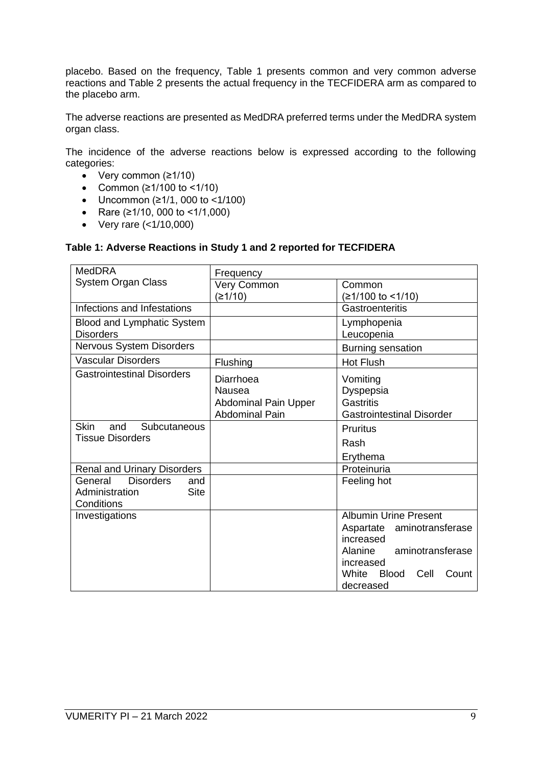placebo. Based on the frequency, Table 1 presents common and very common adverse reactions and Table 2 presents the actual frequency in the TECFIDERA arm as compared to the placebo arm.

The adverse reactions are presented as MedDRA preferred terms under the MedDRA system organ class.

The incidence of the adverse reactions below is expressed according to the following categories:

- Very common (≥1/10)
- Common (≥1/100 to <1/10)
- Uncommon (≥1/1, 000 to <1/100)
- Rare (≥1/10, 000 to <1/1,000)
- Very rare (<1/10,000)

#### **Table 1: Adverse Reactions in Study 1 and 2 reported for TECFIDERA**

| <b>MedDRA</b>                                                                     | Frequency                                                                   |                                                                        |
|-----------------------------------------------------------------------------------|-----------------------------------------------------------------------------|------------------------------------------------------------------------|
| <b>System Organ Class</b>                                                         | Very Common                                                                 | Common                                                                 |
|                                                                                   | (≥1/10)                                                                     | (≥1/100 to <1/10)                                                      |
| Infections and Infestations                                                       |                                                                             | Gastroenteritis                                                        |
| <b>Blood and Lymphatic System</b>                                                 |                                                                             | Lymphopenia                                                            |
| <b>Disorders</b>                                                                  |                                                                             | Leucopenia                                                             |
| Nervous System Disorders                                                          |                                                                             | Burning sensation                                                      |
| <b>Vascular Disorders</b>                                                         | Flushing                                                                    | <b>Hot Flush</b>                                                       |
| <b>Gastrointestinal Disorders</b>                                                 | Diarrhoea<br>Nausea<br><b>Abdominal Pain Upper</b><br><b>Abdominal Pain</b> | Vomiting<br>Dyspepsia<br>Gastritis<br><b>Gastrointestinal Disorder</b> |
| <b>Skin</b><br>and<br>Subcutaneous                                                |                                                                             | <b>Pruritus</b>                                                        |
| <b>Tissue Disorders</b>                                                           |                                                                             | Rash                                                                   |
|                                                                                   |                                                                             | Erythema                                                               |
| <b>Renal and Urinary Disorders</b>                                                |                                                                             | Proteinuria                                                            |
| <b>Disorders</b><br>General<br>and<br>Administration<br><b>Site</b><br>Conditions |                                                                             | Feeling hot                                                            |
| Investigations                                                                    |                                                                             | <b>Albumin Urine Present</b>                                           |
|                                                                                   |                                                                             | Aspartate aminotransferase<br>increased                                |
|                                                                                   |                                                                             | Alanine<br>aminotransferase                                            |
|                                                                                   |                                                                             | increased                                                              |
|                                                                                   |                                                                             | White<br><b>Blood</b><br>Count<br>Cell                                 |
|                                                                                   |                                                                             | decreased                                                              |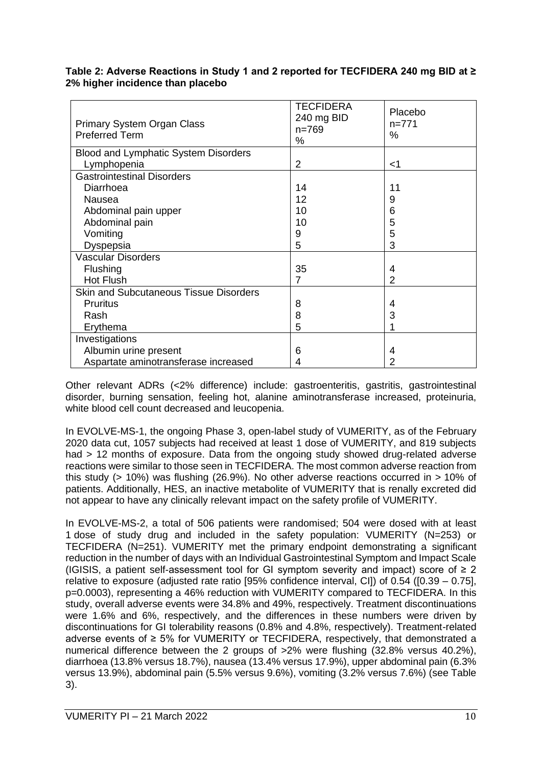#### **Table 2: Adverse Reactions in Study 1 and 2 reported for TECFIDERA 240 mg BID at ≥ 2% higher incidence than placebo**

| Primary System Organ Class<br><b>Preferred Term</b> | <b>TECFIDERA</b><br>240 mg BID<br>$n = 769$<br>% | Placebo<br>$n=771$<br>$\%$ |
|-----------------------------------------------------|--------------------------------------------------|----------------------------|
| Blood and Lymphatic System Disorders                |                                                  |                            |
| Lymphopenia                                         | $\overline{2}$                                   | $<$ 1                      |
| <b>Gastrointestinal Disorders</b>                   |                                                  |                            |
| Diarrhoea                                           | 14                                               | 11                         |
| Nausea                                              | 12                                               | 9                          |
| Abdominal pain upper                                | 10                                               | 6                          |
| Abdominal pain                                      | 10                                               | 5                          |
| Vomiting                                            | 9                                                | 5                          |
| Dyspepsia                                           | 5                                                | 3                          |
| <b>Vascular Disorders</b>                           |                                                  |                            |
| Flushing                                            | 35                                               | 4                          |
| Hot Flush                                           | 7                                                | 2                          |
| <b>Skin and Subcutaneous Tissue Disorders</b>       |                                                  |                            |
| <b>Pruritus</b>                                     | 8                                                | 4                          |
| Rash                                                | 8                                                | 3                          |
| Erythema                                            | 5                                                |                            |
| Investigations                                      |                                                  |                            |
| Albumin urine present                               | 6                                                | 4                          |
| Aspartate aminotransferase increased                | 4                                                | 2                          |

Other relevant ADRs (<2% difference) include: gastroenteritis, gastritis, gastrointestinal disorder, burning sensation, feeling hot, alanine aminotransferase increased, proteinuria, white blood cell count decreased and leucopenia.

In EVOLVE-MS-1, the ongoing Phase 3, open-label study of VUMERITY, as of the February 2020 data cut, 1057 subjects had received at least 1 dose of VUMERITY, and 819 subjects had > 12 months of exposure. Data from the ongoing study showed drug-related adverse reactions were similar to those seen in TECFIDERA. The most common adverse reaction from this study ( $> 10\%$ ) was flushing (26.9%). No other adverse reactions occurred in  $> 10\%$  of patients. Additionally, HES, an inactive metabolite of VUMERITY that is renally excreted did not appear to have any clinically relevant impact on the safety profile of VUMERITY.

In EVOLVE-MS-2, a total of 506 patients were randomised; 504 were dosed with at least 1 dose of study drug and included in the safety population: VUMERITY (N=253) or TECFIDERA (N=251). VUMERITY met the primary endpoint demonstrating a significant reduction in the number of days with an Individual Gastrointestinal Symptom and Impact Scale (IGISIS, a patient self-assessment tool for GI symptom severity and impact) score of  $\geq 2$ relative to exposure (adjusted rate ratio [95% confidence interval, CI]) of 0.54 ([0.39 – 0.75], p=0.0003), representing a 46% reduction with VUMERITY compared to TECFIDERA. In this study, overall adverse events were 34.8% and 49%, respectively. Treatment discontinuations were 1.6% and 6%, respectively, and the differences in these numbers were driven by discontinuations for GI tolerability reasons (0.8% and 4.8%, respectively). Treatment-related adverse events of ≥ 5% for VUMERITY or TECFIDERA, respectively, that demonstrated a numerical difference between the 2 groups of >2% were flushing (32.8% versus 40.2%), diarrhoea (13.8% versus 18.7%), nausea (13.4% versus 17.9%), upper abdominal pain (6.3% versus 13.9%), abdominal pain (5.5% versus 9.6%), vomiting (3.2% versus 7.6%) (see Table 3).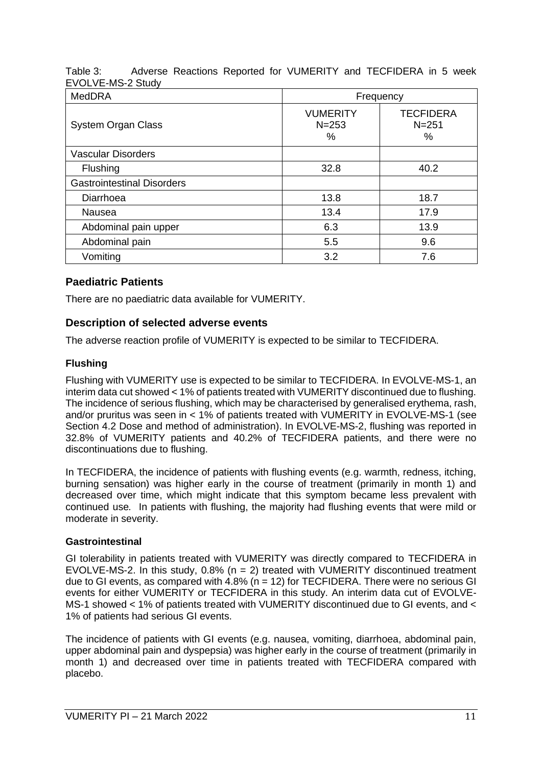Table 3: Adverse Reactions Reported for VUMERITY and TECFIDERA in 5 week EVOLVE-MS-2 Study

| <b>MedDRA</b>                     | Frequency                         |                                    |  |
|-----------------------------------|-----------------------------------|------------------------------------|--|
| <b>System Organ Class</b>         | <b>VUMERITY</b><br>$N = 253$<br>% | <b>TECFIDERA</b><br>$N = 251$<br>% |  |
| Vascular Disorders                |                                   |                                    |  |
| Flushing                          | 32.8                              | 40.2                               |  |
| <b>Gastrointestinal Disorders</b> |                                   |                                    |  |
| Diarrhoea                         | 13.8                              | 18.7                               |  |
| Nausea                            | 13.4                              | 17.9                               |  |
| Abdominal pain upper              | 6.3                               | 13.9                               |  |
| Abdominal pain                    | 5.5                               | 9.6                                |  |
| Vomiting                          | 3.2                               | 7.6                                |  |

## **Paediatric Patients**

There are no paediatric data available for VUMERITY.

### **Description of selected adverse events**

The adverse reaction profile of VUMERITY is expected to be similar to TECFIDERA.

### **Flushing**

Flushing with VUMERITY use is expected to be similar to TECFIDERA. In EVOLVE-MS-1, an interim data cut showed < 1% of patients treated with VUMERITY discontinued due to flushing. The incidence of serious flushing, which may be characterised by generalised erythema, rash, and/or pruritus was seen in < 1% of patients treated with VUMERITY in EVOLVE-MS-1 (see Section 4.2 Dose and method of administration). In EVOLVE-MS-2, flushing was reported in 32.8% of VUMERITY patients and 40.2% of TECFIDERA patients, and there were no discontinuations due to flushing.

In TECFIDERA, the incidence of patients with flushing events (e.g. warmth, redness, itching, burning sensation) was higher early in the course of treatment (primarily in month 1) and decreased over time, which might indicate that this symptom became less prevalent with continued use*.* In patients with flushing, the majority had flushing events that were mild or moderate in severity.

### **Gastrointestinal**

GI tolerability in patients treated with VUMERITY was directly compared to TECFIDERA in EVOLVE-MS-2. In this study,  $0.8\%$  (n = 2) treated with VUMERITY discontinued treatment due to GI events, as compared with  $4.8\%$  (n = 12) for TECFIDERA. There were no serious GI events for either VUMERITY or TECFIDERA in this study. An interim data cut of EVOLVE-MS-1 showed < 1% of patients treated with VUMERITY discontinued due to GI events, and < 1% of patients had serious GI events.

The incidence of patients with GI events (e.g. nausea, vomiting, diarrhoea, abdominal pain, upper abdominal pain and dyspepsia) was higher early in the course of treatment (primarily in month 1) and decreased over time in patients treated with TECFIDERA compared with placebo.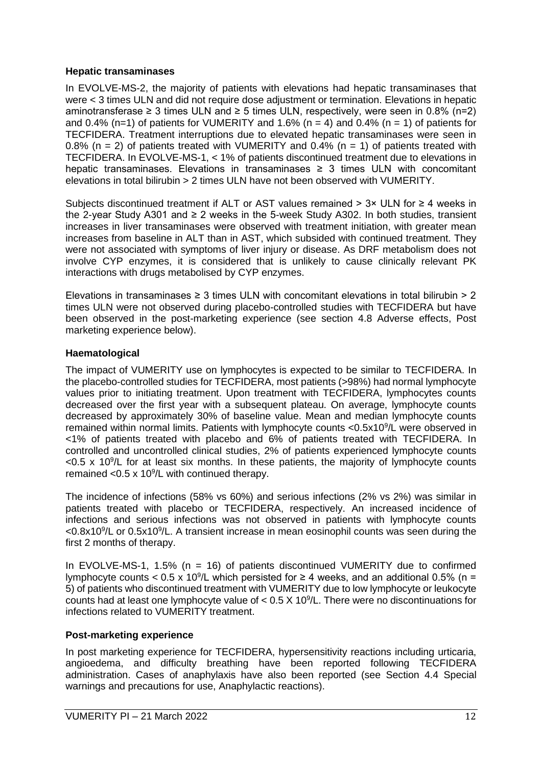#### **Hepatic transaminases**

In EVOLVE-MS-2, the majority of patients with elevations had hepatic transaminases that were < 3 times ULN and did not require dose adjustment or termination. Elevations in hepatic aminotransferase  $\geq 3$  times ULN and  $\geq 5$  times ULN, respectively, were seen in 0.8% (n=2) and 0.4% (n=1) of patients for VUMERITY and 1.6% (n = 4) and 0.4% (n = 1) of patients for TECFIDERA. Treatment interruptions due to elevated hepatic transaminases were seen in 0.8% ( $n = 2$ ) of patients treated with VUMERITY and 0.4% ( $n = 1$ ) of patients treated with TECFIDERA. In EVOLVE-MS-1, < 1% of patients discontinued treatment due to elevations in hepatic transaminases. Elevations in transaminases ≥ 3 times ULN with concomitant elevations in total bilirubin > 2 times ULN have not been observed with VUMERITY.

Subjects discontinued treatment if ALT or AST values remained >  $3 \times$  ULN for  $\geq 4$  weeks in the 2-year Study A301 and ≥ 2 weeks in the 5-week Study A302. In both studies, transient increases in liver transaminases were observed with treatment initiation, with greater mean increases from baseline in ALT than in AST, which subsided with continued treatment. They were not associated with symptoms of liver injury or disease. As DRF metabolism does not involve CYP enzymes, it is considered that is unlikely to cause clinically relevant PK interactions with drugs metabolised by CYP enzymes.

Elevations in transaminases  $\geq 3$  times ULN with concomitant elevations in total bilirubin  $> 2$ times ULN were not observed during placebo-controlled studies with TECFIDERA but have been observed in the post-marketing experience (see section 4.8 Adverse effects, Post marketing experience below).

### **Haematological**

The impact of VUMERITY use on lymphocytes is expected to be similar to TECFIDERA. In the placebo-controlled studies for TECFIDERA, most patients (>98%) had normal lymphocyte values prior to initiating treatment. Upon treatment with TECFIDERA, lymphocytes counts decreased over the first year with a subsequent plateau. On average, lymphocyte counts decreased by approximately 30% of baseline value. Mean and median lymphocyte counts remained within normal limits. Patients with lymphocyte counts <0.5x10<sup>9</sup>/L were observed in <1% of patients treated with placebo and 6% of patients treated with TECFIDERA. In controlled and uncontrolled clinical studies, 2% of patients experienced lymphocyte counts  $<$ 0.5 x 10 $<sup>9</sup>/L$  for at least six months. In these patients, the majority of lymphocyte counts</sup> remained < $0.5 \times 10^9$ /L with continued therapy.

The incidence of infections (58% vs 60%) and serious infections (2% vs 2%) was similar in patients treated with placebo or TECFIDERA, respectively. An increased incidence of infections and serious infections was not observed in patients with lymphocyte counts <0.8x10<sup>9</sup>/L or 0.5x10<sup>9</sup>/L. A transient increase in mean eosinophil counts was seen during the first 2 months of therapy.

In EVOLVE-MS-1, 1.5% (n = 16) of patients discontinued VUMERITY due to confirmed lymphocyte counts < 0.5 x 10<sup>9</sup>/L which persisted for  $\geq$  4 weeks, and an additional 0.5% (n = 5) of patients who discontinued treatment with VUMERITY due to low lymphocyte or leukocyte counts had at least one lymphocyte value of  $< 0.5$  X 10 $\degree$ /L. There were no discontinuations for infections related to VUMERITY treatment.

### **Post-marketing experience**

In post marketing experience for TECFIDERA, hypersensitivity reactions including urticaria, angioedema, and difficulty breathing have been reported following TECFIDERA administration. Cases of anaphylaxis have also been reported (see Section 4.4 Special warnings and precautions for use, Anaphylactic reactions).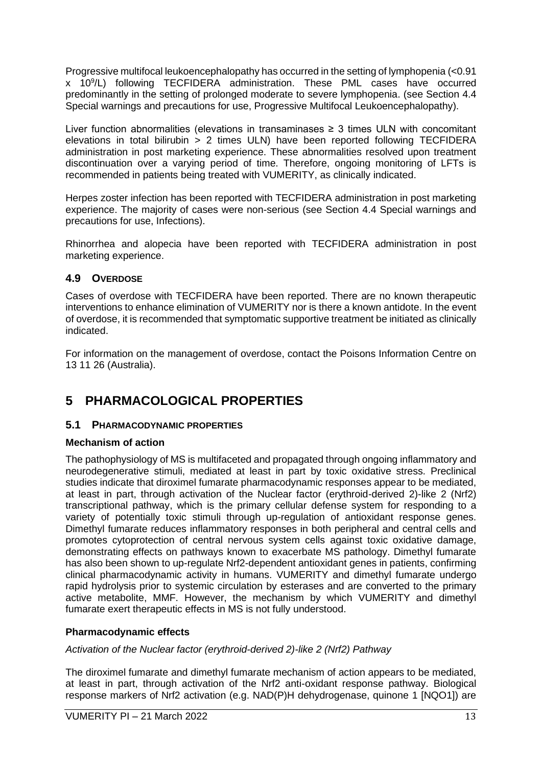Progressive multifocal leukoencephalopathy has occurred in the setting of lymphopenia (<0.91 x 10<sup>9</sup> /L) following TECFIDERA administration. These PML cases have occurred predominantly in the setting of prolonged moderate to severe lymphopenia. (see Section 4.4 Special warnings and precautions for use, Progressive Multifocal Leukoencephalopathy).

Liver function abnormalities (elevations in transaminases  $\geq$  3 times ULN with concomitant elevations in total bilirubin > 2 times ULN) have been reported following TECFIDERA administration in post marketing experience. These abnormalities resolved upon treatment discontinuation over a varying period of time. Therefore, ongoing monitoring of LFTs is recommended in patients being treated with VUMERITY, as clinically indicated.

Herpes zoster infection has been reported with TECFIDERA administration in post marketing experience. The majority of cases were non-serious (see Section 4.4 Special warnings and precautions for use, Infections).

Rhinorrhea and alopecia have been reported with TECFIDERA administration in post marketing experience.

### **4.9 OVERDOSE**

Cases of overdose with TECFIDERA have been reported. There are no known therapeutic interventions to enhance elimination of VUMERITY nor is there a known antidote. In the event of overdose, it is recommended that symptomatic supportive treatment be initiated as clinically indicated.

For information on the management of overdose, contact the Poisons Information Centre on 13 11 26 (Australia).

## **5 PHARMACOLOGICAL PROPERTIES**

### **5.1 PHARMACODYNAMIC PROPERTIES**

### **Mechanism of action**

The pathophysiology of MS is multifaceted and propagated through ongoing inflammatory and neurodegenerative stimuli, mediated at least in part by toxic oxidative stress. Preclinical studies indicate that diroximel fumarate pharmacodynamic responses appear to be mediated, at least in part, through activation of the Nuclear factor (erythroid-derived 2)-like 2 (Nrf2) transcriptional pathway, which is the primary cellular defense system for responding to a variety of potentially toxic stimuli through up-regulation of antioxidant response genes. Dimethyl fumarate reduces inflammatory responses in both peripheral and central cells and promotes cytoprotection of central nervous system cells against toxic oxidative damage, demonstrating effects on pathways known to exacerbate MS pathology. Dimethyl fumarate has also been shown to up-regulate Nrf2-dependent antioxidant genes in patients, confirming clinical pharmacodynamic activity in humans. VUMERITY and dimethyl fumarate undergo rapid hydrolysis prior to systemic circulation by esterases and are converted to the primary active metabolite, MMF. However, the mechanism by which VUMERITY and dimethyl fumarate exert therapeutic effects in MS is not fully understood.

### **Pharmacodynamic effects**

*Activation of the Nuclear factor (erythroid-derived 2)-like 2 (Nrf2) Pathway* 

The diroximel fumarate and dimethyl fumarate mechanism of action appears to be mediated, at least in part, through activation of the Nrf2 anti-oxidant response pathway. Biological response markers of Nrf2 activation (e.g. NAD(P)H dehydrogenase, quinone 1 [NQO1]) are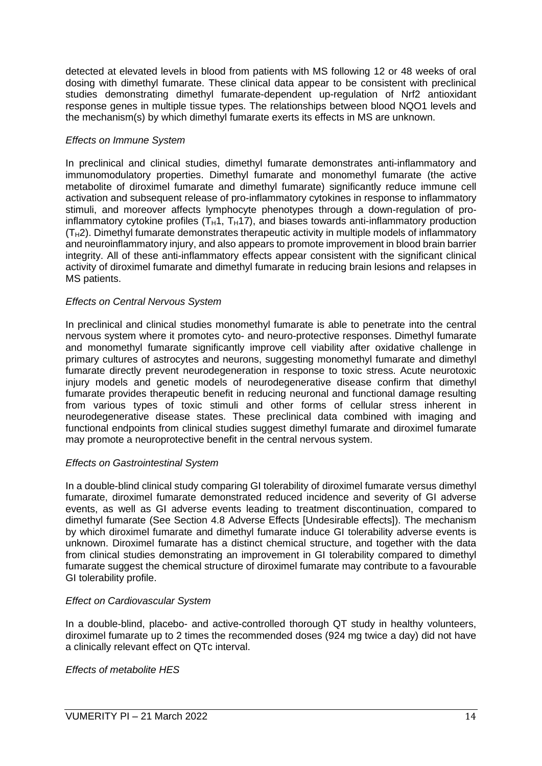detected at elevated levels in blood from patients with MS following 12 or 48 weeks of oral dosing with dimethyl fumarate. These clinical data appear to be consistent with preclinical studies demonstrating dimethyl fumarate-dependent up-regulation of Nrf2 antioxidant response genes in multiple tissue types. The relationships between blood NQO1 levels and the mechanism(s) by which dimethyl fumarate exerts its effects in MS are unknown.

#### *Effects on Immune System*

In preclinical and clinical studies, dimethyl fumarate demonstrates anti-inflammatory and immunomodulatory properties. Dimethyl fumarate and monomethyl fumarate (the active metabolite of diroximel fumarate and dimethyl fumarate) significantly reduce immune cell activation and subsequent release of pro-inflammatory cytokines in response to inflammatory stimuli, and moreover affects lymphocyte phenotypes through a down-regulation of proinflammatory cytokine profiles  $(T_H1, T_H17)$ , and biases towards anti-inflammatory production  $(T<sub>H</sub>2)$ . Dimethyl fumarate demonstrates therapeutic activity in multiple models of inflammatory and neuroinflammatory injury, and also appears to promote improvement in blood brain barrier integrity. All of these anti-inflammatory effects appear consistent with the significant clinical activity of diroximel fumarate and dimethyl fumarate in reducing brain lesions and relapses in MS patients.

#### *Effects on Central Nervous System*

In preclinical and clinical studies monomethyl fumarate is able to penetrate into the central nervous system where it promotes cyto- and neuro-protective responses. Dimethyl fumarate and monomethyl fumarate significantly improve cell viability after oxidative challenge in primary cultures of astrocytes and neurons, suggesting monomethyl fumarate and dimethyl fumarate directly prevent neurodegeneration in response to toxic stress. Acute neurotoxic injury models and genetic models of neurodegenerative disease confirm that dimethyl fumarate provides therapeutic benefit in reducing neuronal and functional damage resulting from various types of toxic stimuli and other forms of cellular stress inherent in neurodegenerative disease states. These preclinical data combined with imaging and functional endpoints from clinical studies suggest dimethyl fumarate and diroximel fumarate may promote a neuroprotective benefit in the central nervous system.

#### *Effects on Gastrointestinal System*

In a double-blind clinical study comparing GI tolerability of diroximel fumarate versus dimethyl fumarate, diroximel fumarate demonstrated reduced incidence and severity of GI adverse events, as well as GI adverse events leading to treatment discontinuation, compared to dimethyl fumarate (See Section 4.8 Adverse Effects [Undesirable effects]). The mechanism by which diroximel fumarate and dimethyl fumarate induce GI tolerability adverse events is unknown. Diroximel fumarate has a distinct chemical structure, and together with the data from clinical studies demonstrating an improvement in GI tolerability compared to dimethyl fumarate suggest the chemical structure of diroximel fumarate may contribute to a favourable GI tolerability profile.

### *Effect on Cardiovascular System*

In a double-blind, placebo- and active-controlled thorough QT study in healthy volunteers, diroximel fumarate up to 2 times the recommended doses (924 mg twice a day) did not have a clinically relevant effect on QTc interval.

#### *Effects of metabolite HES*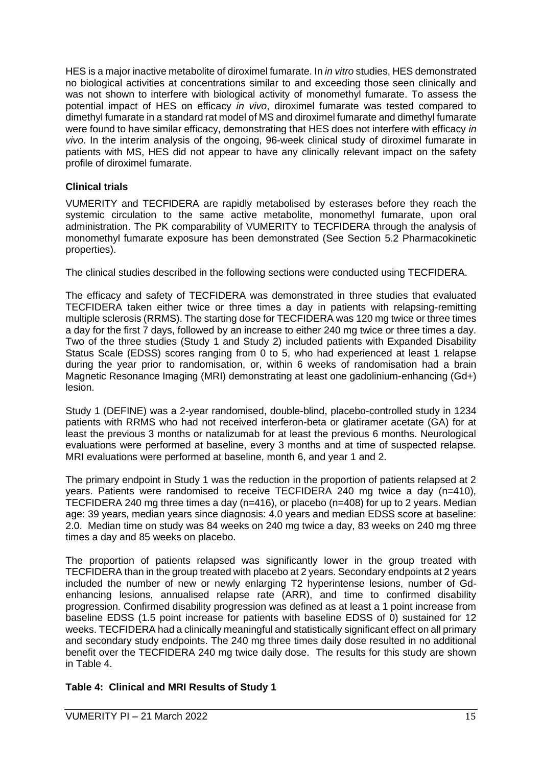HES is a major inactive metabolite of diroximel fumarate. In *in vitro* studies, HES demonstrated no biological activities at concentrations similar to and exceeding those seen clinically and was not shown to interfere with biological activity of monomethyl fumarate. To assess the potential impact of HES on efficacy *in vivo*, diroximel fumarate was tested compared to dimethyl fumarate in a standard rat model of MS and diroximel fumarate and dimethyl fumarate were found to have similar efficacy, demonstrating that HES does not interfere with efficacy *in vivo*. In the interim analysis of the ongoing, 96-week clinical study of diroximel fumarate in patients with MS, HES did not appear to have any clinically relevant impact on the safety profile of diroximel fumarate.

### **Clinical trials**

VUMERITY and TECFIDERA are rapidly metabolised by esterases before they reach the systemic circulation to the same active metabolite, monomethyl fumarate, upon oral administration. The PK comparability of VUMERITY to TECFIDERA through the analysis of monomethyl fumarate exposure has been demonstrated (See Section 5.2 Pharmacokinetic properties).

The clinical studies described in the following sections were conducted using TECFIDERA.

The efficacy and safety of TECFIDERA was demonstrated in three studies that evaluated TECFIDERA taken either twice or three times a day in patients with relapsing-remitting multiple sclerosis (RRMS). The starting dose for TECFIDERA was 120 mg twice or three times a day for the first 7 days, followed by an increase to either 240 mg twice or three times a day. Two of the three studies (Study 1 and Study 2) included patients with Expanded Disability Status Scale (EDSS) scores ranging from 0 to 5, who had experienced at least 1 relapse during the year prior to randomisation, or, within 6 weeks of randomisation had a brain Magnetic Resonance Imaging (MRI) demonstrating at least one gadolinium-enhancing (Gd+) lesion.

Study 1 (DEFINE) was a 2-year randomised, double-blind, placebo-controlled study in 1234 patients with RRMS who had not received interferon-beta or glatiramer acetate (GA) for at least the previous 3 months or natalizumab for at least the previous 6 months. Neurological evaluations were performed at baseline, every 3 months and at time of suspected relapse. MRI evaluations were performed at baseline, month 6, and year 1 and 2.

The primary endpoint in Study 1 was the reduction in the proportion of patients relapsed at 2 years. Patients were randomised to receive TECFIDERA 240 mg twice a day (n=410), TECFIDERA 240 mg three times a day ( $n=416$ ), or placebo ( $n=408$ ) for up to 2 years. Median age: 39 years, median years since diagnosis: 4.0 years and median EDSS score at baseline: 2.0. Median time on study was 84 weeks on 240 mg twice a day, 83 weeks on 240 mg three times a day and 85 weeks on placebo.

The proportion of patients relapsed was significantly lower in the group treated with TECFIDERA than in the group treated with placebo at 2 years. Secondary endpoints at 2 years included the number of new or newly enlarging T2 hyperintense lesions, number of Gdenhancing lesions, annualised relapse rate (ARR), and time to confirmed disability progression. Confirmed disability progression was defined as at least a 1 point increase from baseline EDSS (1.5 point increase for patients with baseline EDSS of 0) sustained for 12 weeks. TECFIDERA had a clinically meaningful and statistically significant effect on all primary and secondary study endpoints. The 240 mg three times daily dose resulted in no additional benefit over the TECFIDERA 240 mg twice daily dose. The results for this study are shown in Table 4.

### **Table 4: Clinical and MRI Results of Study 1**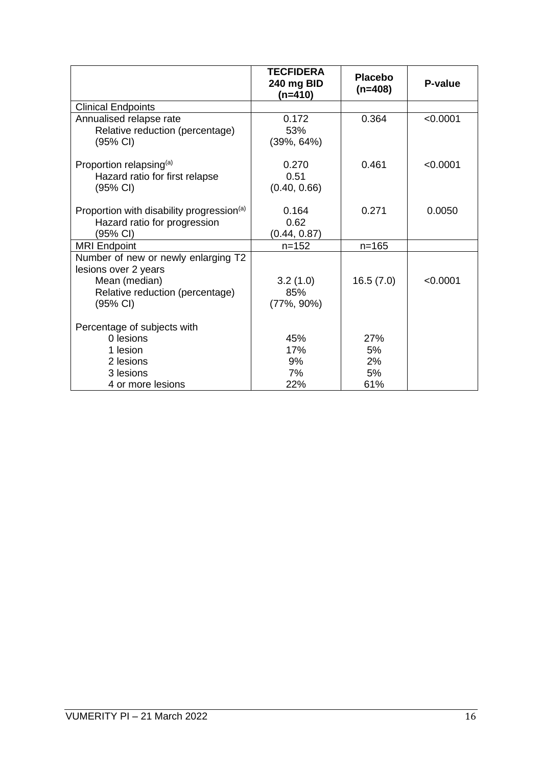|                                                                                                                             | TECFIDERA<br>240 mg BID<br>(n=410) | <b>Placebo</b><br>$(n=408)$  | P-value  |
|-----------------------------------------------------------------------------------------------------------------------------|------------------------------------|------------------------------|----------|
| <b>Clinical Endpoints</b>                                                                                                   |                                    |                              |          |
| Annualised relapse rate<br>Relative reduction (percentage)<br>$(95% \text{ Cl})$                                            | 0.172<br>53%<br>$(39\%, 64\%)$     | 0.364                        | < 0.0001 |
| Proportion relapsing <sup>(a)</sup><br>Hazard ratio for first relapse<br>(95% CI)                                           | 0.270<br>0.51<br>(0.40, 0.66)      | 0.461                        | < 0.0001 |
| Proportion with disability progression <sup>(a)</sup><br>Hazard ratio for progression<br>(95% CI)                           | 0.164<br>0.62<br>(0.44, 0.87)      | 0.271                        | 0.0050   |
| <b>MRI Endpoint</b>                                                                                                         | $n = 152$                          | $n = 165$                    |          |
| Number of new or newly enlarging T2<br>lesions over 2 years<br>Mean (median)<br>Relative reduction (percentage)<br>(95% CI) | 3.2(1.0)<br>85%<br>$(77\%, 90\%)$  | 16.5(7.0)                    | < 0.0001 |
| Percentage of subjects with<br>0 lesions<br>1 lesion<br>2 lesions<br>3 lesions<br>4 or more lesions                         | 45%<br>17%<br>9%<br>7%<br>22%      | 27%<br>5%<br>2%<br>5%<br>61% |          |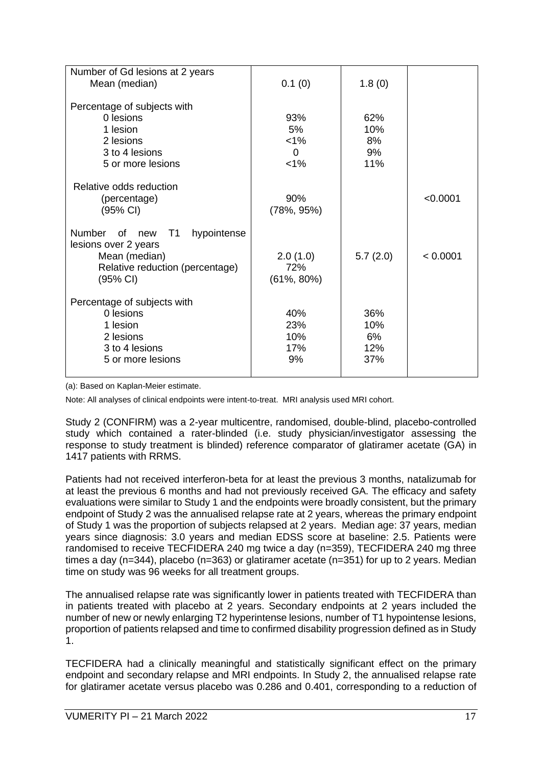| Number of Gd lesions at 2 years                 |                |          |          |
|-------------------------------------------------|----------------|----------|----------|
| Mean (median)                                   | 0.1(0)         | 1.8(0)   |          |
|                                                 |                |          |          |
| Percentage of subjects with                     |                |          |          |
| 0 lesions                                       | 93%            | 62%      |          |
| 1 lesion                                        | 5%             | 10%      |          |
| 2 lesions                                       | $< 1\%$        | 8%       |          |
| 3 to 4 lesions                                  | $\Omega$       | 9%       |          |
| 5 or more lesions                               | $< 1\%$        | 11%      |          |
|                                                 |                |          |          |
| Relative odds reduction                         |                |          |          |
| (percentage)                                    | 90%            |          | < 0.0001 |
| (95% CI)                                        | $(78\%, 95\%)$ |          |          |
|                                                 |                |          |          |
| <b>Number</b><br>of<br>T1<br>hypointense<br>new |                |          |          |
| lesions over 2 years                            |                |          |          |
| Mean (median)                                   | 2.0(1.0)       | 5.7(2.0) | < 0.0001 |
| Relative reduction (percentage)                 | 72%            |          |          |
| $(95% \text{ Cl})$                              | $(61\%, 80\%)$ |          |          |
|                                                 |                |          |          |
| Percentage of subjects with                     |                |          |          |
| 0 lesions                                       | 40%            | 36%      |          |
| 1 lesion                                        | 23%            | 10%      |          |
| 2 lesions                                       | 10%            | 6%       |          |
| 3 to 4 lesions                                  | 17%            | 12%      |          |
| 5 or more lesions                               | 9%             | 37%      |          |
|                                                 |                |          |          |

(a): Based on Kaplan-Meier estimate.

Note: All analyses of clinical endpoints were intent-to-treat. MRI analysis used MRI cohort.

Study 2 (CONFIRM) was a 2-year multicentre, randomised, double-blind, placebo-controlled study which contained a rater-blinded (i.e. study physician/investigator assessing the response to study treatment is blinded) reference comparator of glatiramer acetate (GA) in 1417 patients with RRMS.

Patients had not received interferon-beta for at least the previous 3 months, natalizumab for at least the previous 6 months and had not previously received GA. The efficacy and safety evaluations were similar to Study 1 and the endpoints were broadly consistent, but the primary endpoint of Study 2 was the annualised relapse rate at 2 years, whereas the primary endpoint of Study 1 was the proportion of subjects relapsed at 2 years. Median age: 37 years, median years since diagnosis: 3.0 years and median EDSS score at baseline: 2.5. Patients were randomised to receive TECFIDERA 240 mg twice a day (n=359), TECFIDERA 240 mg three times a day (n=344), placebo (n=363) or glatiramer acetate (n=351) for up to 2 years. Median time on study was 96 weeks for all treatment groups.

The annualised relapse rate was significantly lower in patients treated with TECFIDERA than in patients treated with placebo at 2 years. Secondary endpoints at 2 years included the number of new or newly enlarging T2 hyperintense lesions, number of T1 hypointense lesions, proportion of patients relapsed and time to confirmed disability progression defined as in Study 1.

TECFIDERA had a clinically meaningful and statistically significant effect on the primary endpoint and secondary relapse and MRI endpoints. In Study 2, the annualised relapse rate for glatiramer acetate versus placebo was 0.286 and 0.401, corresponding to a reduction of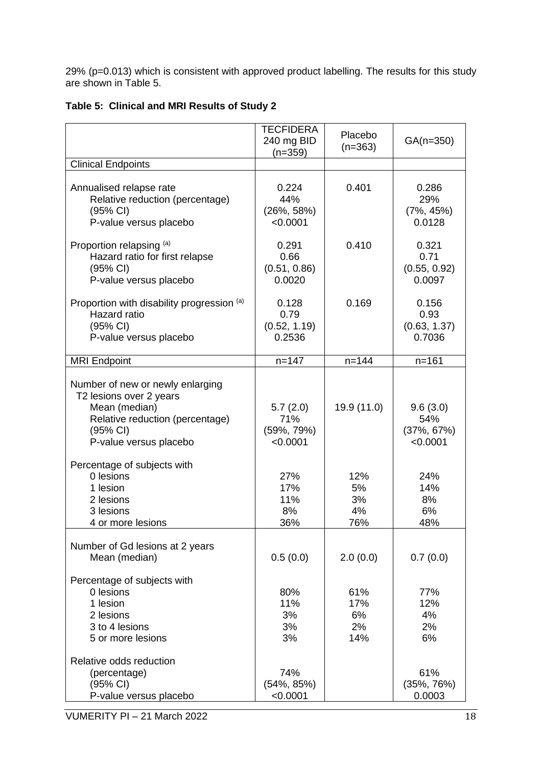29% (p=0.013) which is consistent with approved product labelling. The results for this study are shown in Table 5.

|                                                                                                                                                                                                                                         | <b>TECFIDERA</b><br>240 mg BID<br>$(n=359)$                                     | Placebo<br>$(n=363)$                        | $GA(n=350)$                                                                    |
|-----------------------------------------------------------------------------------------------------------------------------------------------------------------------------------------------------------------------------------------|---------------------------------------------------------------------------------|---------------------------------------------|--------------------------------------------------------------------------------|
| <b>Clinical Endpoints</b>                                                                                                                                                                                                               |                                                                                 |                                             |                                                                                |
| Annualised relapse rate<br>Relative reduction (percentage)<br>(95% CI)<br>P-value versus placebo                                                                                                                                        | 0.224<br>44%<br>$(26\%, 58\%)$<br>< 0.0001                                      | 0.401                                       | 0.286<br>29%<br>$(7\%, 45\%)$<br>0.0128                                        |
| Proportion relapsing (a)<br>Hazard ratio for first relapse<br>(95% CI)<br>P-value versus placebo                                                                                                                                        | 0.291<br>0.66<br>(0.51, 0.86)<br>0.0020                                         | 0.410                                       | 0.321<br>0.71<br>(0.55, 0.92)<br>0.0097                                        |
| Proportion with disability progression (a)<br>Hazard ratio<br>(95% CI)<br>P-value versus placebo                                                                                                                                        | 0.128<br>0.79<br>(0.52, 1.19)<br>0.2536                                         | 0.169                                       | 0.156<br>0.93<br>(0.63, 1.37)<br>0.7036                                        |
| <b>MRI Endpoint</b>                                                                                                                                                                                                                     | $n = 147$                                                                       | $n = 144$                                   | $n = 161$                                                                      |
| Number of new or newly enlarging<br>T2 lesions over 2 years<br>Mean (median)<br>Relative reduction (percentage)<br>(95% CI)<br>P-value versus placebo<br>Percentage of subjects with<br>0 lesions<br>1 lesion<br>2 lesions<br>3 lesions | 5.7(2.0)<br>71%<br>$(59\%, 79\%)$<br>< 0.0001<br>27%<br>17%<br>11%<br>8%<br>36% | 19.9 (11.0)<br>12%<br>5%<br>3%<br>4%<br>76% | 9.6(3.0)<br>54%<br>$(37\%, 67\%)$<br>< 0.0001<br>24%<br>14%<br>8%<br>6%<br>48% |
| 4 or more lesions<br>Number of Gd lesions at 2 years<br>Mean (median)<br>Percentage of subjects with<br>0 lesions<br>1 lesion<br>2 lesions<br>3 to 4 lesions<br>5 or more lesions                                                       | 0.5(0.0)<br>80%<br>11%<br>3%<br>3%<br>3%                                        | 2.0(0.0)<br>61%<br>17%<br>6%<br>2%<br>14%   | 0.7(0.0)<br>77%<br>12%<br>4%<br>2%<br>6%                                       |
| Relative odds reduction<br>(percentage)<br>(95% CI)<br>P-value versus placebo                                                                                                                                                           | 74%<br>$(54\%, 85\%)$<br>< 0.0001                                               |                                             | 61%<br>$(35\%, 76\%)$<br>0.0003                                                |

### **Table 5: Clinical and MRI Results of Study 2**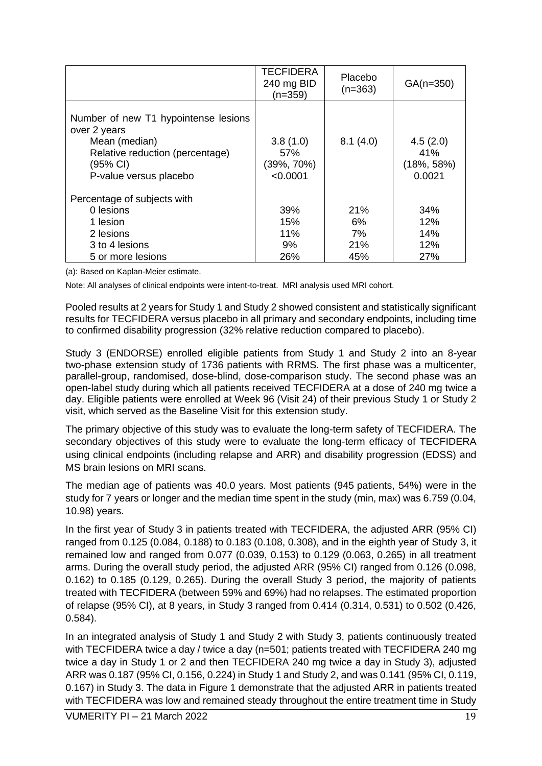|                                                                                                                                                | <b>TECFIDERA</b><br>240 mg BID<br>$(n=359)$ | Placebo<br>$(n=363)$ | $GA(n=350)$                                 |
|------------------------------------------------------------------------------------------------------------------------------------------------|---------------------------------------------|----------------------|---------------------------------------------|
| Number of new T1 hypointense lesions<br>over 2 years<br>Mean (median)<br>Relative reduction (percentage)<br>(95% CI)<br>P-value versus placebo | 3.8(1.0)<br>.57%<br>(39%, 70%)<br>< 0.0001  | 8.1(4.0)             | 4.5(2.0)<br>41%<br>$(18\%, 58\%)$<br>0.0021 |
| Percentage of subjects with                                                                                                                    |                                             |                      |                                             |
| 0 lesions                                                                                                                                      | 39%                                         | 21%                  | 34%                                         |
| 1 lesion                                                                                                                                       | 15%                                         | 6%                   | 12%                                         |
| 2 lesions                                                                                                                                      | 11%                                         | 7%                   | 14%                                         |
| 3 to 4 lesions                                                                                                                                 | 9%                                          | 21%                  | 12%                                         |
| 5 or more lesions                                                                                                                              | 26%                                         | 45%                  | 27%                                         |

(a): Based on Kaplan-Meier estimate.

Note: All analyses of clinical endpoints were intent-to-treat. MRI analysis used MRI cohort.

Pooled results at 2 years for Study 1 and Study 2 showed consistent and statistically significant results for TECFIDERA versus placebo in all primary and secondary endpoints, including time to confirmed disability progression (32% relative reduction compared to placebo).

Study 3 (ENDORSE) enrolled eligible patients from Study 1 and Study 2 into an 8-year two-phase extension study of 1736 patients with RRMS. The first phase was a multicenter, parallel-group, randomised, dose-blind, dose-comparison study. The second phase was an open-label study during which all patients received TECFIDERA at a dose of 240 mg twice a day. Eligible patients were enrolled at Week 96 (Visit 24) of their previous Study 1 or Study 2 visit, which served as the Baseline Visit for this extension study.

The primary objective of this study was to evaluate the long-term safety of TECFIDERA. The secondary objectives of this study were to evaluate the long-term efficacy of TECFIDERA using clinical endpoints (including relapse and ARR) and disability progression (EDSS) and MS brain lesions on MRI scans.

The median age of patients was 40.0 years. Most patients (945 patients, 54%) were in the study for 7 years or longer and the median time spent in the study (min, max) was 6.759 (0.04, 10.98) years.

In the first year of Study 3 in patients treated with TECFIDERA, the adjusted ARR (95% CI) ranged from 0.125 (0.084, 0.188) to 0.183 (0.108, 0.308), and in the eighth year of Study 3, it remained low and ranged from 0.077 (0.039, 0.153) to 0.129 (0.063, 0.265) in all treatment arms. During the overall study period, the adjusted ARR (95% CI) ranged from 0.126 (0.098, 0.162) to 0.185 (0.129, 0.265). During the overall Study 3 period, the majority of patients treated with TECFIDERA (between 59% and 69%) had no relapses. The estimated proportion of relapse (95% CI), at 8 years, in Study 3 ranged from 0.414 (0.314, 0.531) to 0.502 (0.426, 0.584).

In an integrated analysis of Study 1 and Study 2 with Study 3, patients continuously treated with TECFIDERA twice a day / twice a day (n=501; patients treated with TECFIDERA 240 mg twice a day in Study 1 or 2 and then TECFIDERA 240 mg twice a day in Study 3), adjusted ARR was 0.187 (95% CI, 0.156, 0.224) in Study 1 and Study 2, and was 0.141 (95% CI, 0.119, 0.167) in Study 3. The data in Figure 1 demonstrate that the adjusted ARR in patients treated with TECFIDERA was low and remained steady throughout the entire treatment time in Study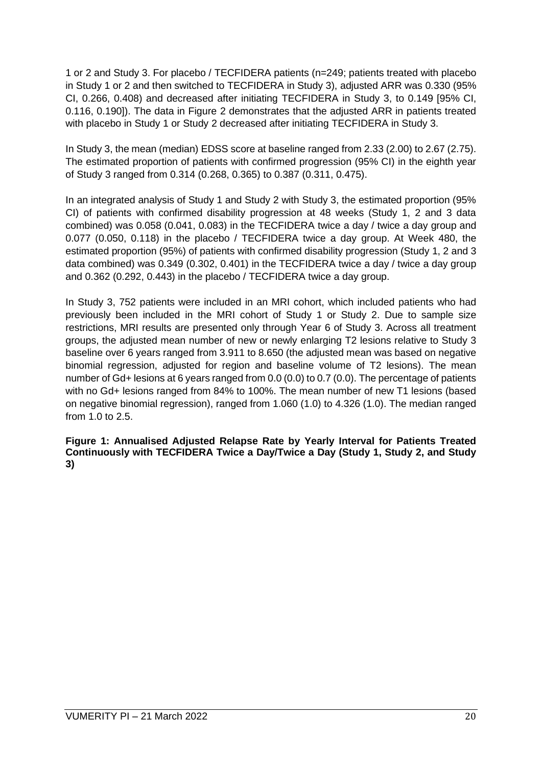1 or 2 and Study 3. For placebo / TECFIDERA patients (n=249; patients treated with placebo in Study 1 or 2 and then switched to TECFIDERA in Study 3), adjusted ARR was 0.330 (95% CI, 0.266, 0.408) and decreased after initiating TECFIDERA in Study 3, to 0.149 [95% CI, 0.116, 0.190]). The data in Figure 2 demonstrates that the adjusted ARR in patients treated with placebo in Study 1 or Study 2 decreased after initiating TECFIDERA in Study 3.

In Study 3, the mean (median) EDSS score at baseline ranged from 2.33 (2.00) to 2.67 (2.75). The estimated proportion of patients with confirmed progression (95% CI) in the eighth year of Study 3 ranged from 0.314 (0.268, 0.365) to 0.387 (0.311, 0.475).

In an integrated analysis of Study 1 and Study 2 with Study 3, the estimated proportion (95% CI) of patients with confirmed disability progression at 48 weeks (Study 1, 2 and 3 data combined) was 0.058 (0.041, 0.083) in the TECFIDERA twice a day / twice a day group and 0.077 (0.050, 0.118) in the placebo / TECFIDERA twice a day group. At Week 480, the estimated proportion (95%) of patients with confirmed disability progression (Study 1, 2 and 3 data combined) was 0.349 (0.302, 0.401) in the TECFIDERA twice a day / twice a day group and 0.362 (0.292, 0.443) in the placebo / TECFIDERA twice a day group.

In Study 3, 752 patients were included in an MRI cohort, which included patients who had previously been included in the MRI cohort of Study 1 or Study 2. Due to sample size restrictions, MRI results are presented only through Year 6 of Study 3. Across all treatment groups, the adjusted mean number of new or newly enlarging T2 lesions relative to Study 3 baseline over 6 years ranged from 3.911 to 8.650 (the adjusted mean was based on negative binomial regression, adjusted for region and baseline volume of T2 lesions). The mean number of Gd+ lesions at 6 years ranged from 0.0 (0.0) to 0.7 (0.0). The percentage of patients with no Gd+ lesions ranged from 84% to 100%. The mean number of new T1 lesions (based on negative binomial regression), ranged from 1.060 (1.0) to 4.326 (1.0). The median ranged from 1.0 to 2.5.

**Figure 1: Annualised Adjusted Relapse Rate by Yearly Interval for Patients Treated Continuously with TECFIDERA Twice a Day/Twice a Day (Study 1, Study 2, and Study 3)**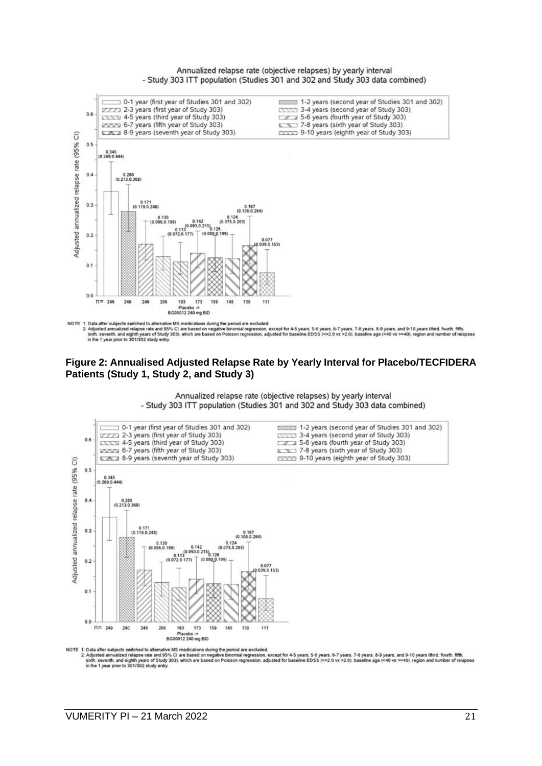Annualized relapse rate (objective relapses) by yearly interval - Study 303 ITT population (Studies 301 and 302 and Study 303 data combined)



NOTE 1: Data after subjects switched to alternative MS medications during the period are excluded.<br>2: Adjusted annualized relapse rate art 95% CI are based on negative binomial regression, except for 4-5 years, 5-6 years,

#### **Figure 2: Annualised Adjusted Relapse Rate by Yearly Interval for Placebo/TECFIDERA Patients (Study 1, Study 2, and Study 3)**

Annualized relapse rate (objective relapses) by yearly interval - Study 303 ITT population (Studies 301 and 302 and Study 303 data combined)



NOTE 1: Data after subjects switched to alternative MS medications during the period are excluded.<br>2: Adjusted annualized relayse rate and 95% CI are based on negative binomial regression, except for 4-5 years, 5-6 years, er of relanses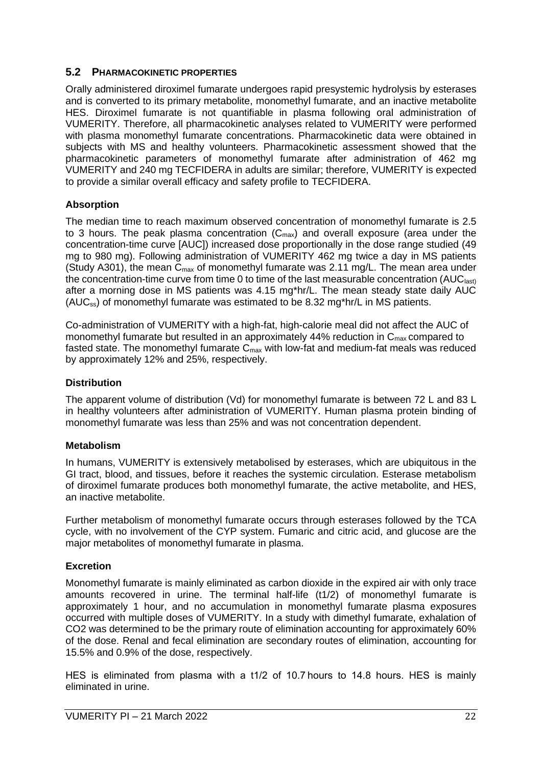### **5.2 PHARMACOKINETIC PROPERTIES**

Orally administered diroximel fumarate undergoes rapid presystemic hydrolysis by esterases and is converted to its primary metabolite, monomethyl fumarate, and an inactive metabolite HES. Diroximel fumarate is not quantifiable in plasma following oral administration of VUMERITY. Therefore, all pharmacokinetic analyses related to VUMERITY were performed with plasma monomethyl fumarate concentrations. Pharmacokinetic data were obtained in subjects with MS and healthy volunteers. Pharmacokinetic assessment showed that the pharmacokinetic parameters of monomethyl fumarate after administration of 462 mg VUMERITY and 240 mg TECFIDERA in adults are similar; therefore, VUMERITY is expected to provide a similar overall efficacy and safety profile to TECFIDERA.

### **Absorption**

The median time to reach maximum observed concentration of monomethyl fumarate is 2.5 to 3 hours. The peak plasma concentration  $(C_{max})$  and overall exposure (area under the concentration-time curve [AUC]) increased dose proportionally in the dose range studied (49 mg to 980 mg). Following administration of VUMERITY 462 mg twice a day in MS patients (Study A301), the mean  $C_{\text{max}}$  of monomethyl fumarate was 2.11 mg/L. The mean area under the concentration-time curve from time 0 to time of the last measurable concentration (AUC<sub>last)</sub> after a morning dose in MS patients was 4.15 mg\*hr/L. The mean steady state daily AUC (AUCss) of monomethyl fumarate was estimated to be 8.32 mg\*hr/L in MS patients.

Co-administration of VUMERITY with a high-fat, high-calorie meal did not affect the AUC of monomethyl fumarate but resulted in an approximately 44% reduction in  $C_{\text{max}}$  compared to fasted state. The monomethyl fumarate  $C_{\text{max}}$  with low-fat and medium-fat meals was reduced by approximately 12% and 25%, respectively.

### **Distribution**

The apparent volume of distribution (Vd) for monomethyl fumarate is between 72 L and 83 L in healthy volunteers after administration of VUMERITY. Human plasma protein binding of monomethyl fumarate was less than 25% and was not concentration dependent.

### **Metabolism**

In humans, VUMERITY is extensively metabolised by esterases, which are ubiquitous in the GI tract, blood, and tissues, before it reaches the systemic circulation. Esterase metabolism of diroximel fumarate produces both monomethyl fumarate, the active metabolite, and HES, an inactive metabolite.

Further metabolism of monomethyl fumarate occurs through esterases followed by the TCA cycle, with no involvement of the CYP system. Fumaric and citric acid, and glucose are the major metabolites of monomethyl fumarate in plasma.

### **Excretion**

Monomethyl fumarate is mainly eliminated as carbon dioxide in the expired air with only trace amounts recovered in urine. The terminal half-life (t1/2) of monomethyl fumarate is approximately 1 hour, and no accumulation in monomethyl fumarate plasma exposures occurred with multiple doses of VUMERITY. In a study with dimethyl fumarate, exhalation of CO2 was determined to be the primary route of elimination accounting for approximately 60% of the dose. Renal and fecal elimination are secondary routes of elimination, accounting for 15.5% and 0.9% of the dose, respectively.

HES is eliminated from plasma with a t1/2 of 10.7 hours to 14.8 hours. HES is mainly eliminated in urine.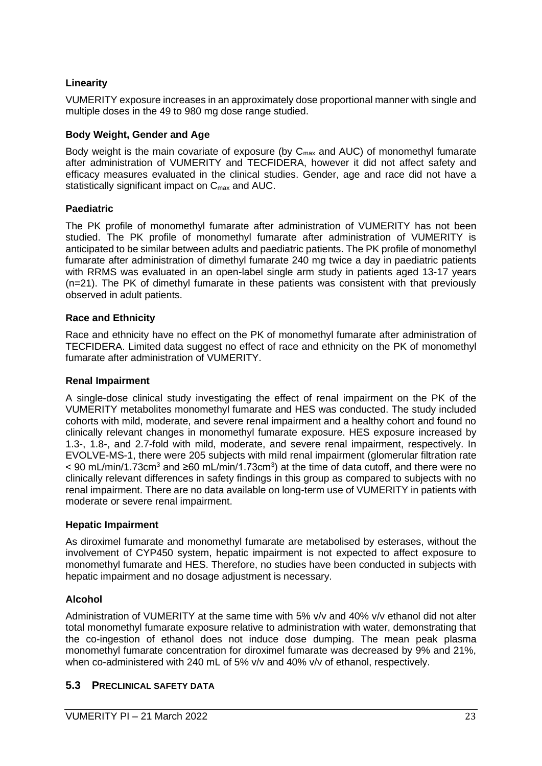### **Linearity**

VUMERITY exposure increases in an approximately dose proportional manner with single and multiple doses in the 49 to 980 mg dose range studied.

#### **Body Weight, Gender and Age**

Body weight is the main covariate of exposure (by  $C_{\text{max}}$  and AUC) of monomethyl fumarate after administration of VUMERITY and TECFIDERA, however it did not affect safety and efficacy measures evaluated in the clinical studies. Gender, age and race did not have a statistically significant impact on C<sub>max</sub> and AUC.

#### **Paediatric**

The PK profile of monomethyl fumarate after administration of VUMERITY has not been studied. The PK profile of monomethyl fumarate after administration of VUMERITY is anticipated to be similar between adults and paediatric patients. The PK profile of monomethyl fumarate after administration of dimethyl fumarate 240 mg twice a day in paediatric patients with RRMS was evaluated in an open-label single arm study in patients aged 13-17 years (n=21). The PK of dimethyl fumarate in these patients was consistent with that previously observed in adult patients.

#### **Race and Ethnicity**

Race and ethnicity have no effect on the PK of monomethyl fumarate after administration of TECFIDERA. Limited data suggest no effect of race and ethnicity on the PK of monomethyl fumarate after administration of VUMERITY.

#### **Renal Impairment**

A single-dose clinical study investigating the effect of renal impairment on the PK of the VUMERITY metabolites monomethyl fumarate and HES was conducted. The study included cohorts with mild, moderate, and severe renal impairment and a healthy cohort and found no clinically relevant changes in monomethyl fumarate exposure. HES exposure increased by 1.3-, 1.8-, and 2.7-fold with mild, moderate, and severe renal impairment, respectively. In EVOLVE-MS-1, there were 205 subjects with mild renal impairment (glomerular filtration rate < 90 mL/min/1.73cm<sup>3</sup> and ≥60 mL/min/1.73cm<sup>3</sup>) at the time of data cutoff, and there were no clinically relevant differences in safety findings in this group as compared to subjects with no renal impairment. There are no data available on long-term use of VUMERITY in patients with moderate or severe renal impairment.

#### **Hepatic Impairment**

As diroximel fumarate and monomethyl fumarate are metabolised by esterases, without the involvement of CYP450 system, hepatic impairment is not expected to affect exposure to monomethyl fumarate and HES. Therefore, no studies have been conducted in subjects with hepatic impairment and no dosage adjustment is necessary.

### **Alcohol**

Administration of VUMERITY at the same time with 5% v/v and 40% v/v ethanol did not alter total monomethyl fumarate exposure relative to administration with water, demonstrating that the co-ingestion of ethanol does not induce dose dumping. The mean peak plasma monomethyl fumarate concentration for diroximel fumarate was decreased by 9% and 21%, when co-administered with 240 mL of 5% v/v and 40% v/v of ethanol, respectively.

### **5.3 PRECLINICAL SAFETY DATA**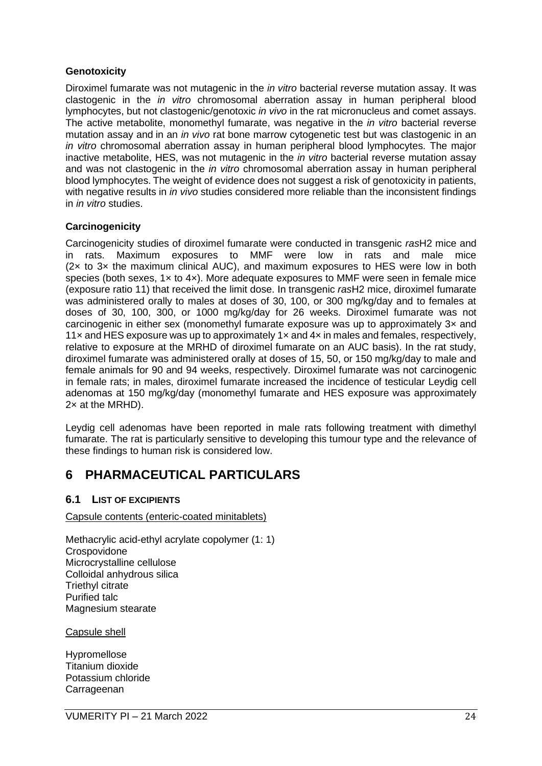#### **Genotoxicity**

Diroximel fumarate was not mutagenic in the *in vitro* bacterial reverse mutation assay. It was clastogenic in the *in vitro* chromosomal aberration assay in human peripheral blood lymphocytes, but not clastogenic/genotoxic *in vivo* in the rat micronucleus and comet assays. The active metabolite, monomethyl fumarate, was negative in the *in vitro* bacterial reverse mutation assay and in an *in vivo* rat bone marrow cytogenetic test but was clastogenic in an *in vitro* chromosomal aberration assay in human peripheral blood lymphocytes. The major inactive metabolite, HES, was not mutagenic in the *in vitro* bacterial reverse mutation assay and was not clastogenic in the *in vitro* chromosomal aberration assay in human peripheral blood lymphocytes. The weight of evidence does not suggest a risk of genotoxicity in patients, with negative results in *in vivo* studies considered more reliable than the inconsistent findings in *in vitro* studies.

### **Carcinogenicity**

Carcinogenicity studies of diroximel fumarate were conducted in transgenic *ras*H2 mice and in rats. Maximum exposures to MMF were low in rats and male mice (2× to 3× the maximum clinical AUC), and maximum exposures to HES were low in both species (both sexes,  $1 \times$  to  $4 \times$ ). More adequate exposures to MMF were seen in female mice (exposure ratio 11) that received the limit dose. In transgenic *ras*H2 mice, diroximel fumarate was administered orally to males at doses of 30, 100, or 300 mg/kg/day and to females at doses of 30, 100, 300, or 1000 mg/kg/day for 26 weeks. Diroximel fumarate was not carcinogenic in either sex (monomethyl fumarate exposure was up to approximately 3× and 11 $\times$  and HES exposure was up to approximately 1 $\times$  and 4 $\times$  in males and females, respectively, relative to exposure at the MRHD of diroximel fumarate on an AUC basis). In the rat study, diroximel fumarate was administered orally at doses of 15, 50, or 150 mg/kg/day to male and female animals for 90 and 94 weeks, respectively. Diroximel fumarate was not carcinogenic in female rats; in males, diroximel fumarate increased the incidence of testicular Leydig cell adenomas at 150 mg/kg/day (monomethyl fumarate and HES exposure was approximately 2× at the MRHD).

Leydig cell adenomas have been reported in male rats following treatment with dimethyl fumarate. The rat is particularly sensitive to developing this tumour type and the relevance of these findings to human risk is considered low.

## **6 PHARMACEUTICAL PARTICULARS**

### **6.1 LIST OF EXCIPIENTS**

#### Capsule contents (enteric-coated minitablets)

Methacrylic acid-ethyl acrylate copolymer (1: 1) **Crospovidone** Microcrystalline cellulose Colloidal anhydrous silica Triethyl citrate Purified talc Magnesium stearate

#### Capsule shell

Hypromellose Titanium dioxide Potassium chloride Carrageenan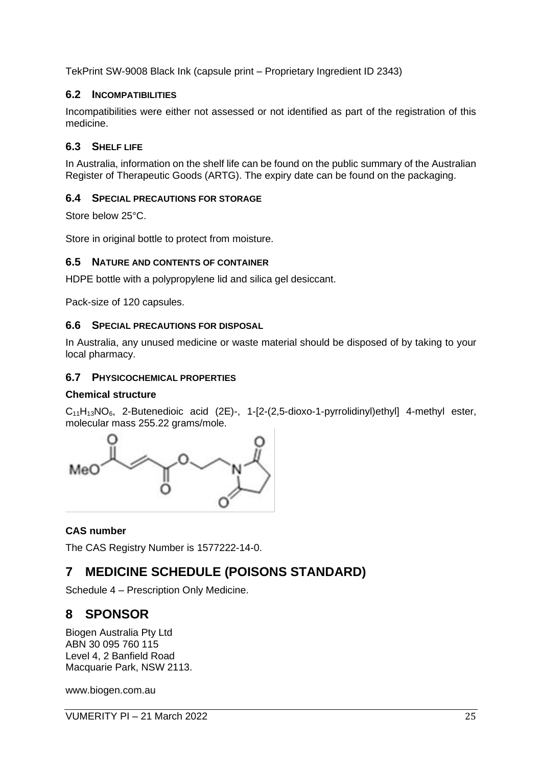TekPrint SW-9008 Black Ink (capsule print – Proprietary Ingredient ID 2343)

#### **6.2 INCOMPATIBILITIES**

Incompatibilities were either not assessed or not identified as part of the registration of this medicine.

### **6.3 SHELF LIFE**

In Australia, information on the shelf life can be found on the public summary of the Australian Register of Therapeutic Goods (ARTG). The expiry date can be found on the packaging.

#### **6.4 SPECIAL PRECAUTIONS FOR STORAGE**

Store below 25°C.

Store in original bottle to protect from moisture.

#### **6.5 NATURE AND CONTENTS OF CONTAINER**

HDPE bottle with a polypropylene lid and silica gel desiccant.

Pack-size of 120 capsules.

#### **6.6 SPECIAL PRECAUTIONS FOR DISPOSAL**

In Australia, any unused medicine or waste material should be disposed of by taking to your local pharmacy.

#### **6.7 PHYSICOCHEMICAL PROPERTIES**

#### **Chemical structure**

 $C_{11}H_{13}NO_6$ , 2-Butenedioic acid (2E)-, 1-[2-(2,5-dioxo-1-pyrrolidinyl)ethyl] 4-methyl ester, molecular mass 255.22 grams/mole.



### **CAS number**

The CAS Registry Number is 1577222-14-0.

## **7 MEDICINE SCHEDULE (POISONS STANDARD)**

Schedule 4 – Prescription Only Medicine.

## **8 SPONSOR**

Biogen Australia Pty Ltd ABN 30 095 760 115 Level 4, 2 Banfield Road Macquarie Park, NSW 2113.

www.biogen.com.au